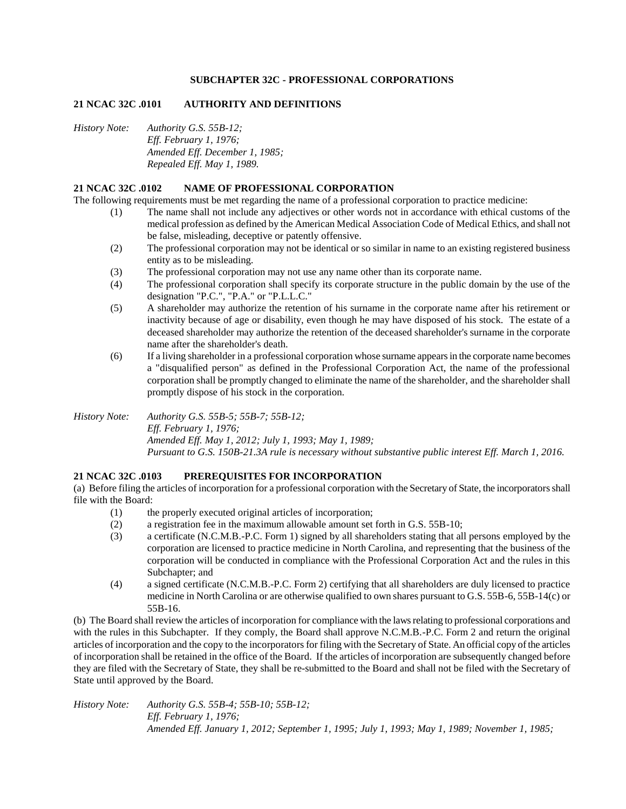### **SUBCHAPTER 32C - PROFESSIONAL CORPORATIONS**

### **21 NCAC 32C .0101 AUTHORITY AND DEFINITIONS**

*History Note: Authority G.S. 55B-12; Eff. February 1, 1976; Amended Eff. December 1, 1985; Repealed Eff. May 1, 1989.*

### **21 NCAC 32C .0102 NAME OF PROFESSIONAL CORPORATION**

The following requirements must be met regarding the name of a professional corporation to practice medicine:

- (1) The name shall not include any adjectives or other words not in accordance with ethical customs of the medical profession as defined by the American Medical Association Code of Medical Ethics, and shall not be false, misleading, deceptive or patently offensive.
- (2) The professional corporation may not be identical or so similar in name to an existing registered business entity as to be misleading.
- (3) The professional corporation may not use any name other than its corporate name.
- (4) The professional corporation shall specify its corporate structure in the public domain by the use of the designation "P.C.", "P.A." or "P.L.L.C."
- (5) A shareholder may authorize the retention of his surname in the corporate name after his retirement or inactivity because of age or disability, even though he may have disposed of his stock. The estate of a deceased shareholder may authorize the retention of the deceased shareholder's surname in the corporate name after the shareholder's death.
- (6) If a living shareholder in a professional corporation whose surname appears in the corporate name becomes a "disqualified person" as defined in the Professional Corporation Act, the name of the professional corporation shall be promptly changed to eliminate the name of the shareholder, and the shareholder shall promptly dispose of his stock in the corporation.

*History Note: Authority G.S. 55B-5; 55B-7; 55B-12; Eff. February 1, 1976; Amended Eff. May 1, 2012; July 1, 1993; May 1, 1989; Pursuant to G.S. 150B-21.3A rule is necessary without substantive public interest Eff. March 1, 2016.*

### **21 NCAC 32C .0103 PREREQUISITES FOR INCORPORATION**

(a) Before filing the articles of incorporation for a professional corporation with the Secretary of State, the incorporators shall file with the Board:

- (1) the properly executed original articles of incorporation;
- (2) a registration fee in the maximum allowable amount set forth in G.S. 55B-10;
- (3) a certificate (N.C.M.B.-P.C. Form 1) signed by all shareholders stating that all persons employed by the corporation are licensed to practice medicine in North Carolina, and representing that the business of the corporation will be conducted in compliance with the Professional Corporation Act and the rules in this Subchapter; and
- (4) a signed certificate (N.C.M.B.-P.C. Form 2) certifying that all shareholders are duly licensed to practice medicine in North Carolina or are otherwise qualified to own shares pursuant to G.S. 55B-6, 55B-14(c) or 55B-16.

(b) The Board shall review the articles of incorporation for compliance with the laws relating to professional corporations and with the rules in this Subchapter. If they comply, the Board shall approve N.C.M.B.-P.C. Form 2 and return the original articles of incorporation and the copy to the incorporators for filing with the Secretary of State. An official copy of the articles of incorporation shall be retained in the office of the Board. If the articles of incorporation are subsequently changed before they are filed with the Secretary of State, they shall be re-submitted to the Board and shall not be filed with the Secretary of State until approved by the Board.

*History Note: Authority G.S. 55B-4; 55B-10; 55B-12; Eff. February 1, 1976; Amended Eff. January 1, 2012; September 1, 1995; July 1, 1993; May 1, 1989; November 1, 1985;*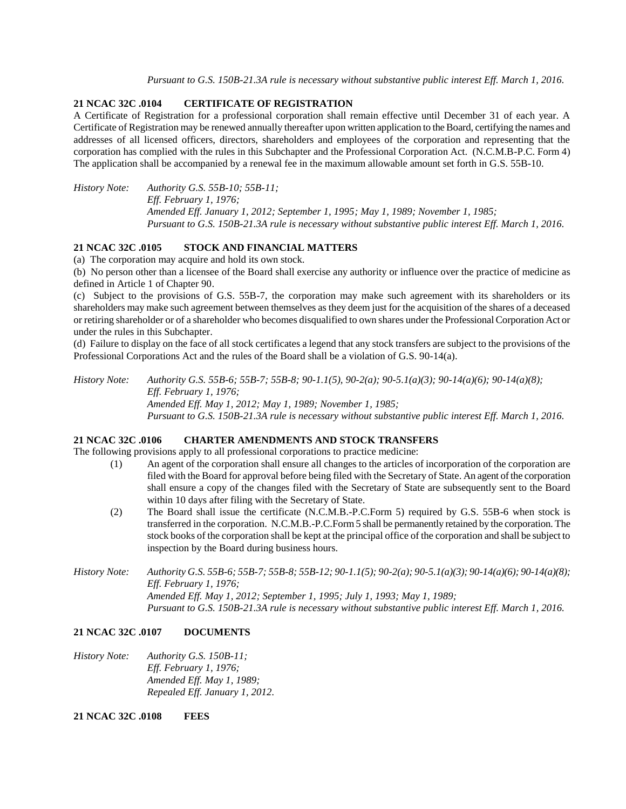*Pursuant to G.S. 150B-21.3A rule is necessary without substantive public interest Eff. March 1, 2016.*

# **21 NCAC 32C .0104 CERTIFICATE OF REGISTRATION**

A Certificate of Registration for a professional corporation shall remain effective until December 31 of each year. A Certificate of Registration may be renewed annually thereafter upon written application to the Board, certifying the names and addresses of all licensed officers, directors, shareholders and employees of the corporation and representing that the corporation has complied with the rules in this Subchapter and the Professional Corporation Act. (N.C.M.B-P.C. Form 4) The application shall be accompanied by a renewal fee in the maximum allowable amount set forth in G.S. 55B-10.

*History Note: Authority G.S. 55B-10; 55B-11; Eff. February 1, 1976; Amended Eff. January 1, 2012; September 1, 1995; May 1, 1989; November 1, 1985; Pursuant to G.S. 150B-21.3A rule is necessary without substantive public interest Eff. March 1, 2016.*

## **21 NCAC 32C .0105 STOCK AND FINANCIAL MATTERS**

(a) The corporation may acquire and hold its own stock.

(b) No person other than a licensee of the Board shall exercise any authority or influence over the practice of medicine as defined in Article 1 of Chapter 90.

(c) Subject to the provisions of G.S. 55B-7, the corporation may make such agreement with its shareholders or its shareholders may make such agreement between themselves as they deem just for the acquisition of the shares of a deceased or retiring shareholder or of a shareholder who becomes disqualified to own shares under the Professional Corporation Act or under the rules in this Subchapter.

(d) Failure to display on the face of all stock certificates a legend that any stock transfers are subject to the provisions of the Professional Corporations Act and the rules of the Board shall be a violation of G.S. 90-14(a).

*History Note: Authority G.S. 55B-6; 55B-7; 55B-8; 90-1.1(5), 90-2(a); 90-5.1(a)(3); 90-14(a)(6); 90-14(a)(8); Eff. February 1, 1976; Amended Eff. May 1, 2012; May 1, 1989; November 1, 1985; Pursuant to G.S. 150B-21.3A rule is necessary without substantive public interest Eff. March 1, 2016.*

## **21 NCAC 32C .0106 CHARTER AMENDMENTS AND STOCK TRANSFERS**

The following provisions apply to all professional corporations to practice medicine:

- (1) An agent of the corporation shall ensure all changes to the articles of incorporation of the corporation are filed with the Board for approval before being filed with the Secretary of State. An agent of the corporation shall ensure a copy of the changes filed with the Secretary of State are subsequently sent to the Board within 10 days after filing with the Secretary of State.
- (2) The Board shall issue the certificate (N.C.M.B.-P.C.Form 5) required by G.S. 55B-6 when stock is transferred in the corporation. N.C.M.B.-P.C.Form 5 shall be permanently retained by the corporation. The stock books of the corporation shall be kept at the principal office of the corporation and shall be subject to inspection by the Board during business hours.
- *History Note: Authority G.S. 55B-6; 55B-7; 55B-8; 55B-12; 90-1.1(5); 90-2(a); 90-5.1(a)(3); 90-14(a)(6); 90-14(a)(8); Eff. February 1, 1976; Amended Eff. May 1, 2012; September 1, 1995; July 1, 1993; May 1, 1989; Pursuant to G.S. 150B-21.3A rule is necessary without substantive public interest Eff. March 1, 2016.*

# **21 NCAC 32C .0107 DOCUMENTS**

*History Note: Authority G.S. 150B-11; Eff. February 1, 1976; Amended Eff. May 1, 1989; Repealed Eff. January 1, 2012.*

**21 NCAC 32C .0108 FEES**